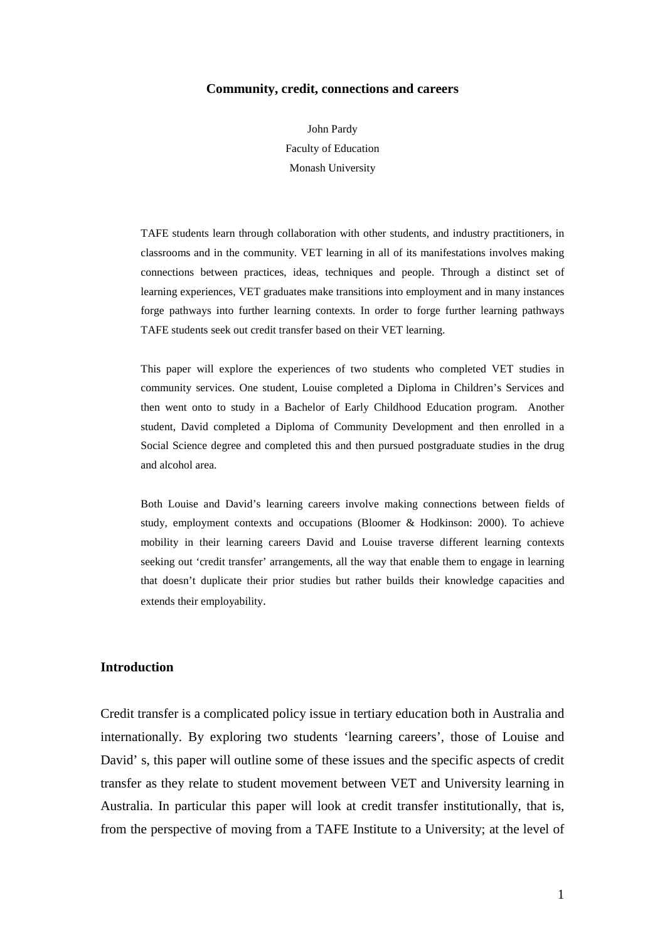#### **Community, credit, connections and careers**

John Pardy Faculty of Education Monash University

TAFE students learn through collaboration with other students, and industry practitioners, in classrooms and in the community. VET learning in all of its manifestations involves making connections between practices, ideas, techniques and people. Through a distinct set of learning experiences, VET graduates make transitions into employment and in many instances forge pathways into further learning contexts. In order to forge further learning pathways TAFE students seek out credit transfer based on their VET learning.

This paper will explore the experiences of two students who completed VET studies in community services. One student, Louise completed a Diploma in Children's Services and then went onto to study in a Bachelor of Early Childhood Education program. Another student, David completed a Diploma of Community Development and then enrolled in a Social Science degree and completed this and then pursued postgraduate studies in the drug and alcohol area.

Both Louise and David's learning careers involve making connections between fields of study, employment contexts and occupations (Bloomer & Hodkinson: 2000). To achieve mobility in their learning careers David and Louise traverse different learning contexts seeking out 'credit transfer' arrangements, all the way that enable them to engage in learning that doesn't duplicate their prior studies but rather builds their knowledge capacities and extends their employability.

### **Introduction**

Credit transfer is a complicated policy issue in tertiary education both in Australia and internationally. By exploring two students 'learning careers', those of Louise and David' s, this paper will outline some of these issues and the specific aspects of credit transfer as they relate to student movement between VET and University learning in Australia. In particular this paper will look at credit transfer institutionally, that is, from the perspective of moving from a TAFE Institute to a University; at the level of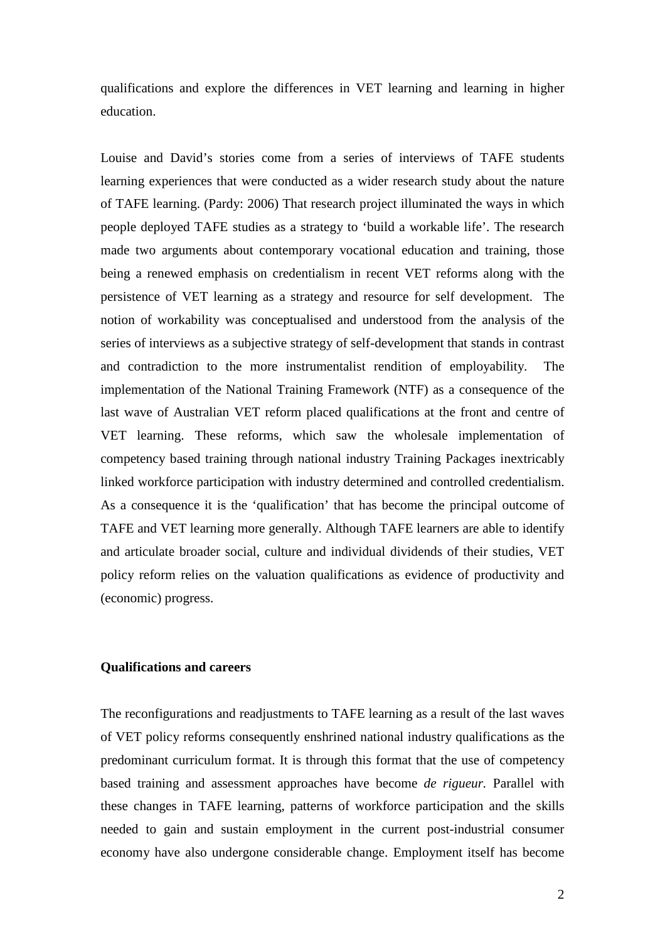qualifications and explore the differences in VET learning and learning in higher education.

Louise and David's stories come from a series of interviews of TAFE students learning experiences that were conducted as a wider research study about the nature of TAFE learning. (Pardy: 2006) That research project illuminated the ways in which people deployed TAFE studies as a strategy to 'build a workable life'. The research made two arguments about contemporary vocational education and training, those being a renewed emphasis on credentialism in recent VET reforms along with the persistence of VET learning as a strategy and resource for self development. The notion of workability was conceptualised and understood from the analysis of the series of interviews as a subjective strategy of self-development that stands in contrast and contradiction to the more instrumentalist rendition of employability. The implementation of the National Training Framework (NTF) as a consequence of the last wave of Australian VET reform placed qualifications at the front and centre of VET learning. These reforms, which saw the wholesale implementation of competency based training through national industry Training Packages inextricably linked workforce participation with industry determined and controlled credentialism. As a consequence it is the 'qualification' that has become the principal outcome of TAFE and VET learning more generally. Although TAFE learners are able to identify and articulate broader social, culture and individual dividends of their studies, VET policy reform relies on the valuation qualifications as evidence of productivity and (economic) progress.

# **Qualifications and careers**

The reconfigurations and readjustments to TAFE learning as a result of the last waves of VET policy reforms consequently enshrined national industry qualifications as the predominant curriculum format. It is through this format that the use of competency based training and assessment approaches have become *de rigueur.* Parallel with these changes in TAFE learning, patterns of workforce participation and the skills needed to gain and sustain employment in the current post-industrial consumer economy have also undergone considerable change. Employment itself has become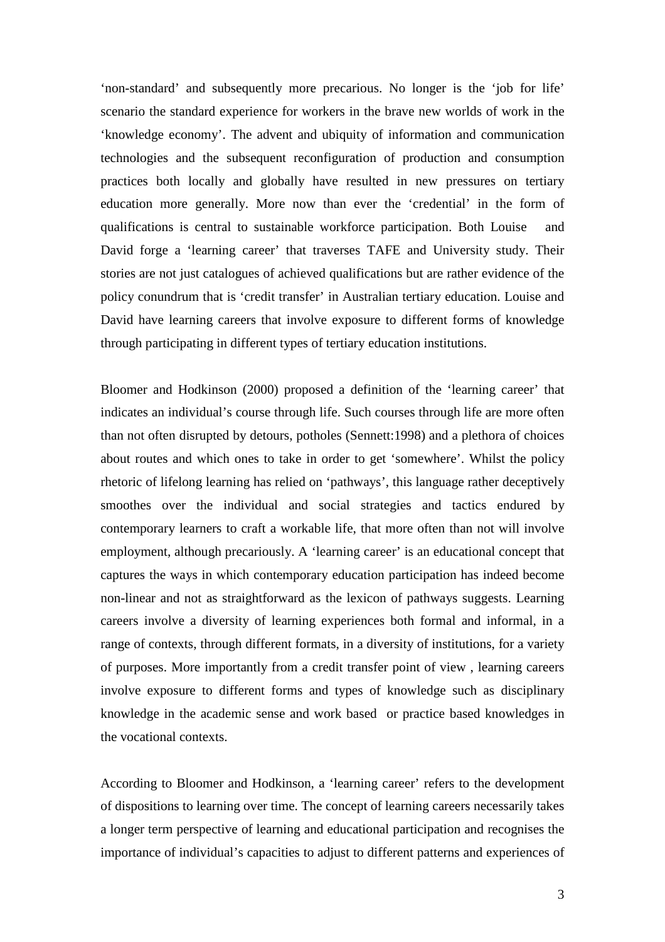'non-standard' and subsequently more precarious. No longer is the 'job for life' scenario the standard experience for workers in the brave new worlds of work in the 'knowledge economy'. The advent and ubiquity of information and communication technologies and the subsequent reconfiguration of production and consumption practices both locally and globally have resulted in new pressures on tertiary education more generally. More now than ever the 'credential' in the form of qualifications is central to sustainable workforce participation. Both Louise and David forge a 'learning career' that traverses TAFE and University study. Their stories are not just catalogues of achieved qualifications but are rather evidence of the policy conundrum that is 'credit transfer' in Australian tertiary education. Louise and David have learning careers that involve exposure to different forms of knowledge through participating in different types of tertiary education institutions.

Bloomer and Hodkinson (2000) proposed a definition of the 'learning career' that indicates an individual's course through life. Such courses through life are more often than not often disrupted by detours, potholes (Sennett:1998) and a plethora of choices about routes and which ones to take in order to get 'somewhere'. Whilst the policy rhetoric of lifelong learning has relied on 'pathways', this language rather deceptively smoothes over the individual and social strategies and tactics endured by contemporary learners to craft a workable life, that more often than not will involve employment, although precariously. A 'learning career' is an educational concept that captures the ways in which contemporary education participation has indeed become non-linear and not as straightforward as the lexicon of pathways suggests. Learning careers involve a diversity of learning experiences both formal and informal, in a range of contexts, through different formats, in a diversity of institutions, for a variety of purposes. More importantly from a credit transfer point of view , learning careers involve exposure to different forms and types of knowledge such as disciplinary knowledge in the academic sense and work based or practice based knowledges in the vocational contexts.

According to Bloomer and Hodkinson, a 'learning career' refers to the development of dispositions to learning over time. The concept of learning careers necessarily takes a longer term perspective of learning and educational participation and recognises the importance of individual's capacities to adjust to different patterns and experiences of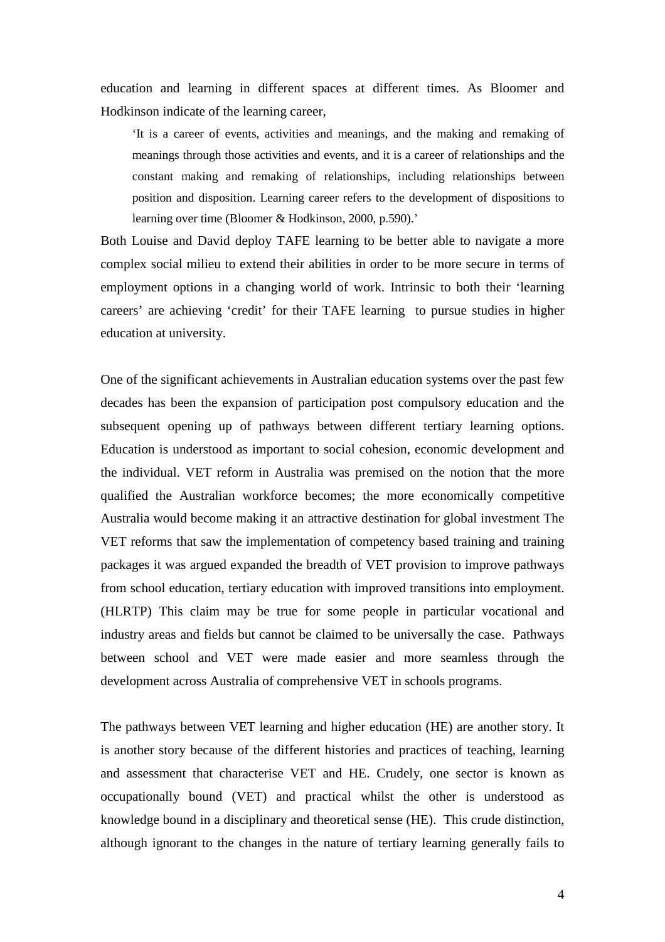education and learning in different spaces at different times. As Bloomer and Hodkinson indicate of the learning career,

'It is a career of events, activities and meanings, and the making and remaking of meanings through those activities and events, and it is a career of relationships and the constant making and remaking of relationships, including relationships between position and disposition. Learning career refers to the development of dispositions to learning over time (Bloomer & Hodkinson, 2000, p.590).'

Both Louise and David deploy TAFE learning to be better able to navigate a more complex social milieu to extend their abilities in order to be more secure in terms of employment options in a changing world of work. Intrinsic to both their 'learning careers' are achieving 'credit' for their TAFE learning to pursue studies in higher education at university.

One of the significant achievements in Australian education systems over the past few decades has been the expansion of participation post compulsory education and the subsequent opening up of pathways between different tertiary learning options. Education is understood as important to social cohesion, economic development and the individual. VET reform in Australia was premised on the notion that the more qualified the Australian workforce becomes; the more economically competitive Australia would become making it an attractive destination for global investment The VET reforms that saw the implementation of competency based training and training packages it was argued expanded the breadth of VET provision to improve pathways from school education, tertiary education with improved transitions into employment. (HLRTP) This claim may be true for some people in particular vocational and industry areas and fields but cannot be claimed to be universally the case. Pathways between school and VET were made easier and more seamless through the development across Australia of comprehensive VET in schools programs.

The pathways between VET learning and higher education (HE) are another story. It is another story because of the different histories and practices of teaching, learning and assessment that characterise VET and HE. Crudely, one sector is known as occupationally bound (VET) and practical whilst the other is understood as knowledge bound in a disciplinary and theoretical sense (HE). This crude distinction, although ignorant to the changes in the nature of tertiary learning generally fails to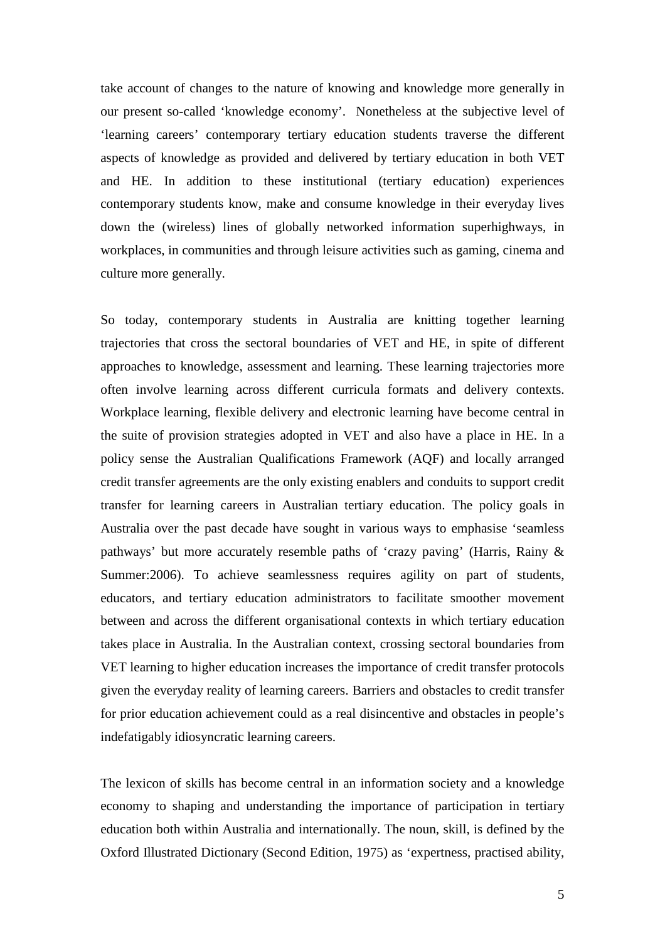take account of changes to the nature of knowing and knowledge more generally in our present so-called 'knowledge economy'. Nonetheless at the subjective level of 'learning careers' contemporary tertiary education students traverse the different aspects of knowledge as provided and delivered by tertiary education in both VET and HE. In addition to these institutional (tertiary education) experiences contemporary students know, make and consume knowledge in their everyday lives down the (wireless) lines of globally networked information superhighways, in workplaces, in communities and through leisure activities such as gaming, cinema and culture more generally.

So today, contemporary students in Australia are knitting together learning trajectories that cross the sectoral boundaries of VET and HE, in spite of different approaches to knowledge, assessment and learning. These learning trajectories more often involve learning across different curricula formats and delivery contexts. Workplace learning, flexible delivery and electronic learning have become central in the suite of provision strategies adopted in VET and also have a place in HE. In a policy sense the Australian Qualifications Framework (AQF) and locally arranged credit transfer agreements are the only existing enablers and conduits to support credit transfer for learning careers in Australian tertiary education. The policy goals in Australia over the past decade have sought in various ways to emphasise 'seamless pathways' but more accurately resemble paths of 'crazy paving' (Harris, Rainy & Summer:2006). To achieve seamlessness requires agility on part of students, educators, and tertiary education administrators to facilitate smoother movement between and across the different organisational contexts in which tertiary education takes place in Australia. In the Australian context, crossing sectoral boundaries from VET learning to higher education increases the importance of credit transfer protocols given the everyday reality of learning careers. Barriers and obstacles to credit transfer for prior education achievement could as a real disincentive and obstacles in people's indefatigably idiosyncratic learning careers.

The lexicon of skills has become central in an information society and a knowledge economy to shaping and understanding the importance of participation in tertiary education both within Australia and internationally. The noun, skill, is defined by the Oxford Illustrated Dictionary (Second Edition, 1975) as 'expertness, practised ability,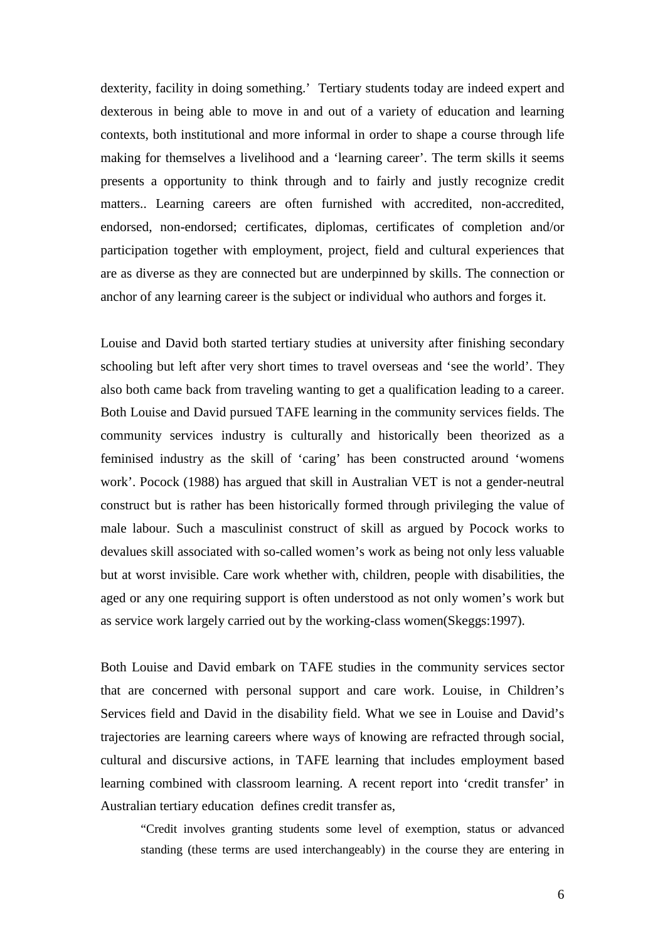dexterity, facility in doing something.' Tertiary students today are indeed expert and dexterous in being able to move in and out of a variety of education and learning contexts, both institutional and more informal in order to shape a course through life making for themselves a livelihood and a 'learning career'. The term skills it seems presents a opportunity to think through and to fairly and justly recognize credit matters.. Learning careers are often furnished with accredited, non-accredited, endorsed, non-endorsed; certificates, diplomas, certificates of completion and/or participation together with employment, project, field and cultural experiences that are as diverse as they are connected but are underpinned by skills. The connection or anchor of any learning career is the subject or individual who authors and forges it.

Louise and David both started tertiary studies at university after finishing secondary schooling but left after very short times to travel overseas and 'see the world'. They also both came back from traveling wanting to get a qualification leading to a career. Both Louise and David pursued TAFE learning in the community services fields. The community services industry is culturally and historically been theorized as a feminised industry as the skill of 'caring' has been constructed around 'womens work'. Pocock (1988) has argued that skill in Australian VET is not a gender-neutral construct but is rather has been historically formed through privileging the value of male labour. Such a masculinist construct of skill as argued by Pocock works to devalues skill associated with so-called women's work as being not only less valuable but at worst invisible. Care work whether with, children, people with disabilities, the aged or any one requiring support is often understood as not only women's work but as service work largely carried out by the working-class women(Skeggs:1997).

Both Louise and David embark on TAFE studies in the community services sector that are concerned with personal support and care work. Louise, in Children's Services field and David in the disability field. What we see in Louise and David's trajectories are learning careers where ways of knowing are refracted through social, cultural and discursive actions, in TAFE learning that includes employment based learning combined with classroom learning. A recent report into 'credit transfer' in Australian tertiary education defines credit transfer as,

"Credit involves granting students some level of exemption, status or advanced standing (these terms are used interchangeably) in the course they are entering in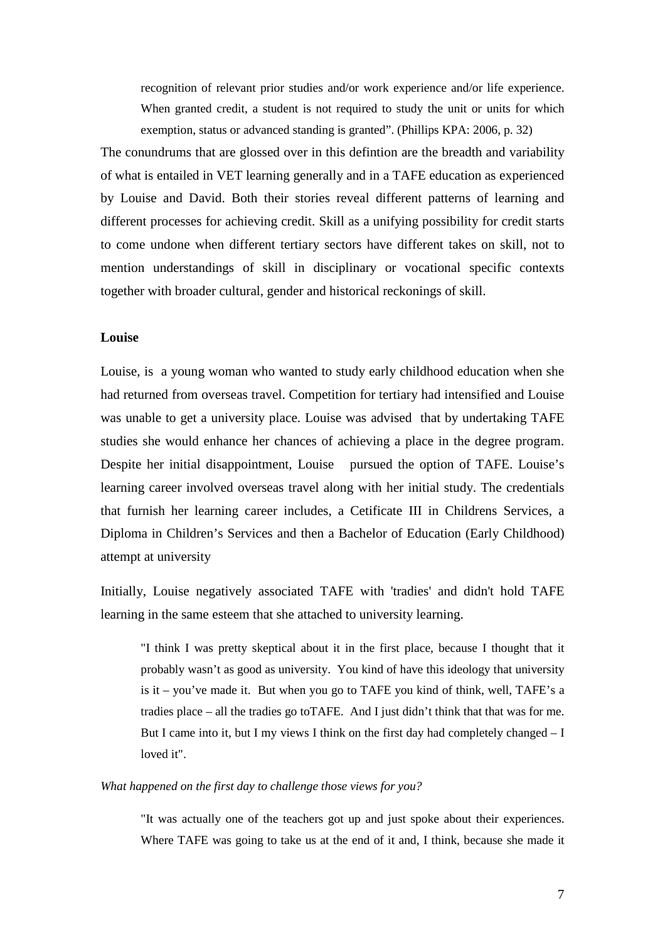recognition of relevant prior studies and/or work experience and/or life experience. When granted credit, a student is not required to study the unit or units for which exemption, status or advanced standing is granted". (Phillips KPA: 2006, p. 32)

The conundrums that are glossed over in this defintion are the breadth and variability of what is entailed in VET learning generally and in a TAFE education as experienced by Louise and David. Both their stories reveal different patterns of learning and different processes for achieving credit. Skill as a unifying possibility for credit starts to come undone when different tertiary sectors have different takes on skill, not to mention understandings of skill in disciplinary or vocational specific contexts together with broader cultural, gender and historical reckonings of skill.

# **Louise**

Louise, is a young woman who wanted to study early childhood education when she had returned from overseas travel. Competition for tertiary had intensified and Louise was unable to get a university place. Louise was advised that by undertaking TAFE studies she would enhance her chances of achieving a place in the degree program. Despite her initial disappointment, Louise pursued the option of TAFE. Louise's learning career involved overseas travel along with her initial study. The credentials that furnish her learning career includes, a Cetificate III in Childrens Services, a Diploma in Children's Services and then a Bachelor of Education (Early Childhood) attempt at university

Initially, Louise negatively associated TAFE with 'tradies' and didn't hold TAFE learning in the same esteem that she attached to university learning.

"I think I was pretty skeptical about it in the first place, because I thought that it probably wasn't as good as university. You kind of have this ideology that university is it – you've made it. But when you go to TAFE you kind of think, well, TAFE's a tradies place – all the tradies go toTAFE. And I just didn't think that that was for me. But I came into it, but I my views I think on the first day had completely changed – I loved it".

#### *What happened on the first day to challenge those views for you?*

"It was actually one of the teachers got up and just spoke about their experiences. Where TAFE was going to take us at the end of it and, I think, because she made it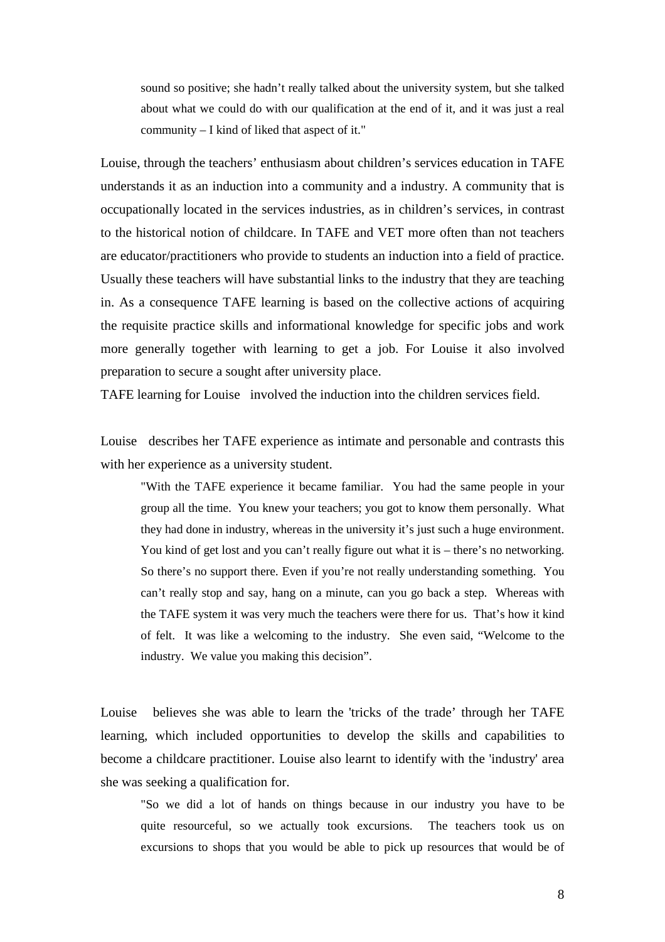sound so positive; she hadn't really talked about the university system, but she talked about what we could do with our qualification at the end of it, and it was just a real community – I kind of liked that aspect of it."

Louise, through the teachers' enthusiasm about children's services education in TAFE understands it as an induction into a community and a industry. A community that is occupationally located in the services industries, as in children's services, in contrast to the historical notion of childcare. In TAFE and VET more often than not teachers are educator/practitioners who provide to students an induction into a field of practice. Usually these teachers will have substantial links to the industry that they are teaching in. As a consequence TAFE learning is based on the collective actions of acquiring the requisite practice skills and informational knowledge for specific jobs and work more generally together with learning to get a job. For Louise it also involved preparation to secure a sought after university place.

TAFE learning for Louise involved the induction into the children services field.

Louise describes her TAFE experience as intimate and personable and contrasts this with her experience as a university student.

"With the TAFE experience it became familiar. You had the same people in your group all the time. You knew your teachers; you got to know them personally. What they had done in industry, whereas in the university it's just such a huge environment. You kind of get lost and you can't really figure out what it is – there's no networking. So there's no support there. Even if you're not really understanding something. You can't really stop and say, hang on a minute, can you go back a step. Whereas with the TAFE system it was very much the teachers were there for us. That's how it kind of felt. It was like a welcoming to the industry. She even said, "Welcome to the industry. We value you making this decision".

Louise believes she was able to learn the 'tricks of the trade' through her TAFE learning, which included opportunities to develop the skills and capabilities to become a childcare practitioner. Louise also learnt to identify with the 'industry' area she was seeking a qualification for.

"So we did a lot of hands on things because in our industry you have to be quite resourceful, so we actually took excursions. The teachers took us on excursions to shops that you would be able to pick up resources that would be of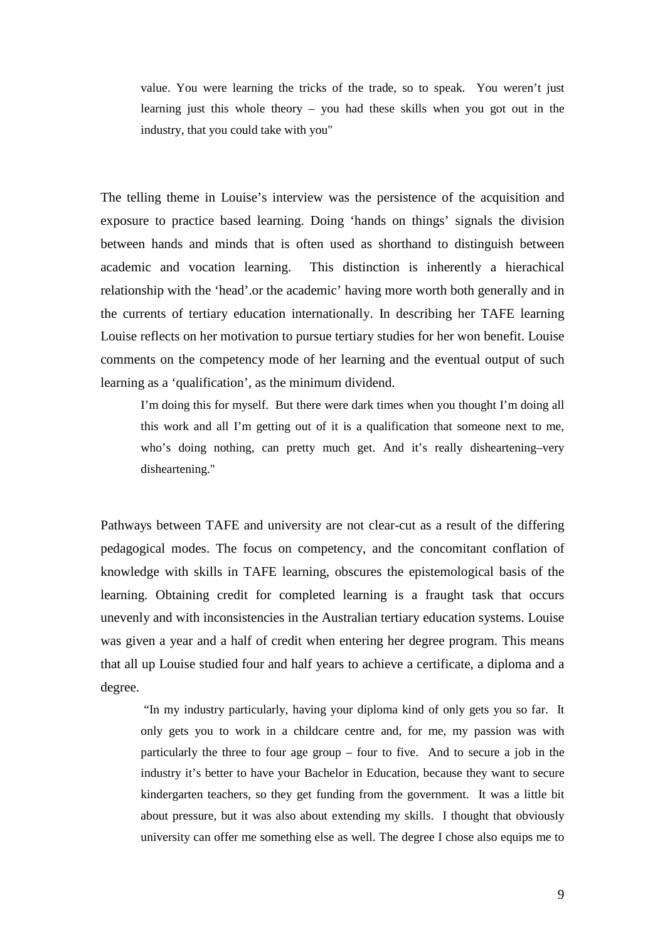value. You were learning the tricks of the trade, so to speak. You weren't just learning just this whole theory – you had these skills when you got out in the industry, that you could take with you"

The telling theme in Louise's interview was the persistence of the acquisition and exposure to practice based learning. Doing 'hands on things' signals the division between hands and minds that is often used as shorthand to distinguish between academic and vocation learning. This distinction is inherently a hierachical relationship with the 'head'.or the academic' having more worth both generally and in the currents of tertiary education internationally. In describing her TAFE learning Louise reflects on her motivation to pursue tertiary studies for her won benefit. Louise comments on the competency mode of her learning and the eventual output of such learning as a 'qualification', as the minimum dividend.

I'm doing this for myself. But there were dark times when you thought I'm doing all this work and all I'm getting out of it is a qualification that someone next to me, who's doing nothing, can pretty much get. And it's really disheartening–very disheartening."

Pathways between TAFE and university are not clear-cut as a result of the differing pedagogical modes. The focus on competency, and the concomitant conflation of knowledge with skills in TAFE learning, obscures the epistemological basis of the learning. Obtaining credit for completed learning is a fraught task that occurs unevenly and with inconsistencies in the Australian tertiary education systems. Louise was given a year and a half of credit when entering her degree program. This means that all up Louise studied four and half years to achieve a certificate, a diploma and a degree.

 "In my industry particularly, having your diploma kind of only gets you so far. It only gets you to work in a childcare centre and, for me, my passion was with particularly the three to four age group – four to five. And to secure a job in the industry it's better to have your Bachelor in Education, because they want to secure kindergarten teachers, so they get funding from the government. It was a little bit about pressure, but it was also about extending my skills. I thought that obviously university can offer me something else as well. The degree I chose also equips me to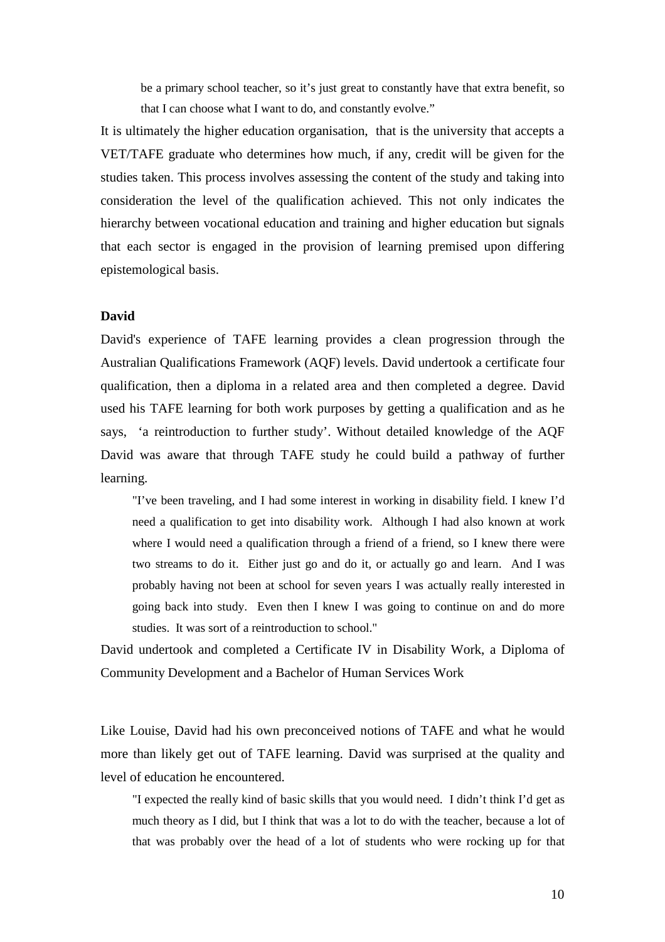be a primary school teacher, so it's just great to constantly have that extra benefit, so that I can choose what I want to do, and constantly evolve."

It is ultimately the higher education organisation, that is the university that accepts a VET/TAFE graduate who determines how much, if any, credit will be given for the studies taken. This process involves assessing the content of the study and taking into consideration the level of the qualification achieved. This not only indicates the hierarchy between vocational education and training and higher education but signals that each sector is engaged in the provision of learning premised upon differing epistemological basis.

## **David**

David's experience of TAFE learning provides a clean progression through the Australian Qualifications Framework (AQF) levels. David undertook a certificate four qualification, then a diploma in a related area and then completed a degree. David used his TAFE learning for both work purposes by getting a qualification and as he says, 'a reintroduction to further study'. Without detailed knowledge of the AQF David was aware that through TAFE study he could build a pathway of further learning.

"I've been traveling, and I had some interest in working in disability field. I knew I'd need a qualification to get into disability work. Although I had also known at work where I would need a qualification through a friend of a friend, so I knew there were two streams to do it. Either just go and do it, or actually go and learn. And I was probably having not been at school for seven years I was actually really interested in going back into study. Even then I knew I was going to continue on and do more studies. It was sort of a reintroduction to school."

David undertook and completed a Certificate IV in Disability Work, a Diploma of Community Development and a Bachelor of Human Services Work

Like Louise, David had his own preconceived notions of TAFE and what he would more than likely get out of TAFE learning. David was surprised at the quality and level of education he encountered.

"I expected the really kind of basic skills that you would need. I didn't think I'd get as much theory as I did, but I think that was a lot to do with the teacher, because a lot of that was probably over the head of a lot of students who were rocking up for that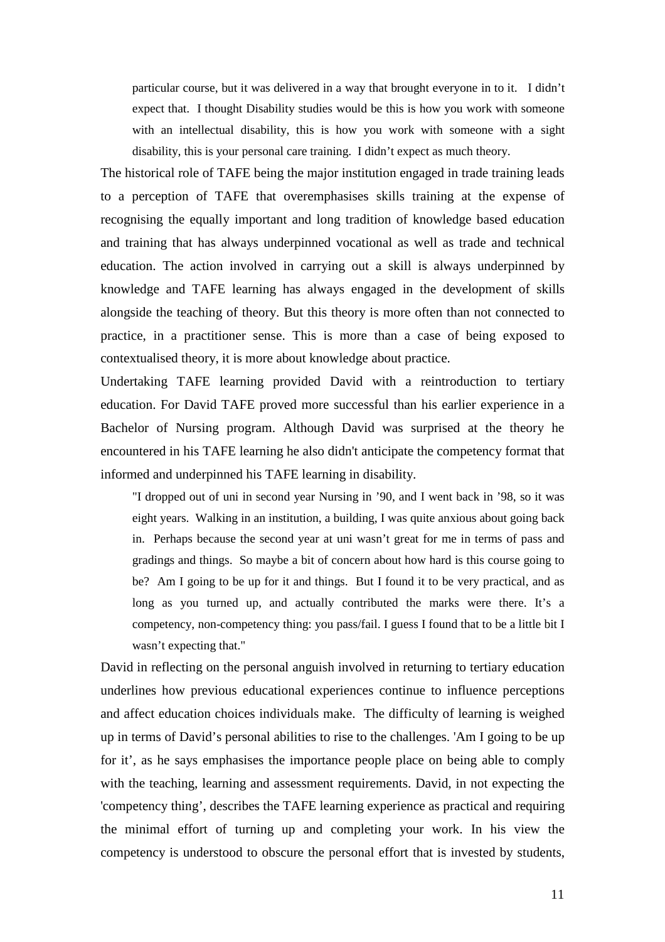particular course, but it was delivered in a way that brought everyone in to it. I didn't expect that. I thought Disability studies would be this is how you work with someone with an intellectual disability, this is how you work with someone with a sight disability, this is your personal care training. I didn't expect as much theory.

The historical role of TAFE being the major institution engaged in trade training leads to a perception of TAFE that overemphasises skills training at the expense of recognising the equally important and long tradition of knowledge based education and training that has always underpinned vocational as well as trade and technical education. The action involved in carrying out a skill is always underpinned by knowledge and TAFE learning has always engaged in the development of skills alongside the teaching of theory. But this theory is more often than not connected to practice, in a practitioner sense. This is more than a case of being exposed to contextualised theory, it is more about knowledge about practice.

Undertaking TAFE learning provided David with a reintroduction to tertiary education. For David TAFE proved more successful than his earlier experience in a Bachelor of Nursing program. Although David was surprised at the theory he encountered in his TAFE learning he also didn't anticipate the competency format that informed and underpinned his TAFE learning in disability.

"I dropped out of uni in second year Nursing in '90, and I went back in '98, so it was eight years. Walking in an institution, a building, I was quite anxious about going back in. Perhaps because the second year at uni wasn't great for me in terms of pass and gradings and things. So maybe a bit of concern about how hard is this course going to be? Am I going to be up for it and things. But I found it to be very practical, and as long as you turned up, and actually contributed the marks were there. It's a competency, non-competency thing: you pass/fail. I guess I found that to be a little bit I wasn't expecting that."

David in reflecting on the personal anguish involved in returning to tertiary education underlines how previous educational experiences continue to influence perceptions and affect education choices individuals make. The difficulty of learning is weighed up in terms of David's personal abilities to rise to the challenges. 'Am I going to be up for it', as he says emphasises the importance people place on being able to comply with the teaching, learning and assessment requirements. David, in not expecting the 'competency thing', describes the TAFE learning experience as practical and requiring the minimal effort of turning up and completing your work. In his view the competency is understood to obscure the personal effort that is invested by students,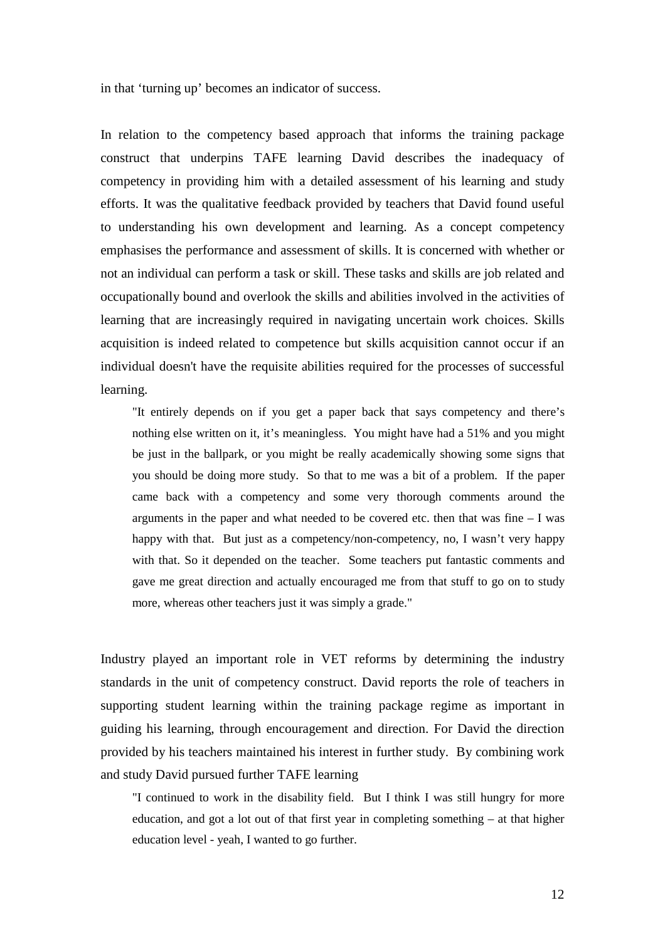in that 'turning up' becomes an indicator of success.

In relation to the competency based approach that informs the training package construct that underpins TAFE learning David describes the inadequacy of competency in providing him with a detailed assessment of his learning and study efforts. It was the qualitative feedback provided by teachers that David found useful to understanding his own development and learning. As a concept competency emphasises the performance and assessment of skills. It is concerned with whether or not an individual can perform a task or skill. These tasks and skills are job related and occupationally bound and overlook the skills and abilities involved in the activities of learning that are increasingly required in navigating uncertain work choices. Skills acquisition is indeed related to competence but skills acquisition cannot occur if an individual doesn't have the requisite abilities required for the processes of successful learning.

"It entirely depends on if you get a paper back that says competency and there's nothing else written on it, it's meaningless. You might have had a 51% and you might be just in the ballpark, or you might be really academically showing some signs that you should be doing more study. So that to me was a bit of a problem. If the paper came back with a competency and some very thorough comments around the arguments in the paper and what needed to be covered etc. then that was fine – I was happy with that. But just as a competency/non-competency, no, I wasn't very happy with that. So it depended on the teacher. Some teachers put fantastic comments and gave me great direction and actually encouraged me from that stuff to go on to study more, whereas other teachers just it was simply a grade."

Industry played an important role in VET reforms by determining the industry standards in the unit of competency construct. David reports the role of teachers in supporting student learning within the training package regime as important in guiding his learning, through encouragement and direction. For David the direction provided by his teachers maintained his interest in further study. By combining work and study David pursued further TAFE learning

"I continued to work in the disability field. But I think I was still hungry for more education, and got a lot out of that first year in completing something – at that higher education level - yeah, I wanted to go further.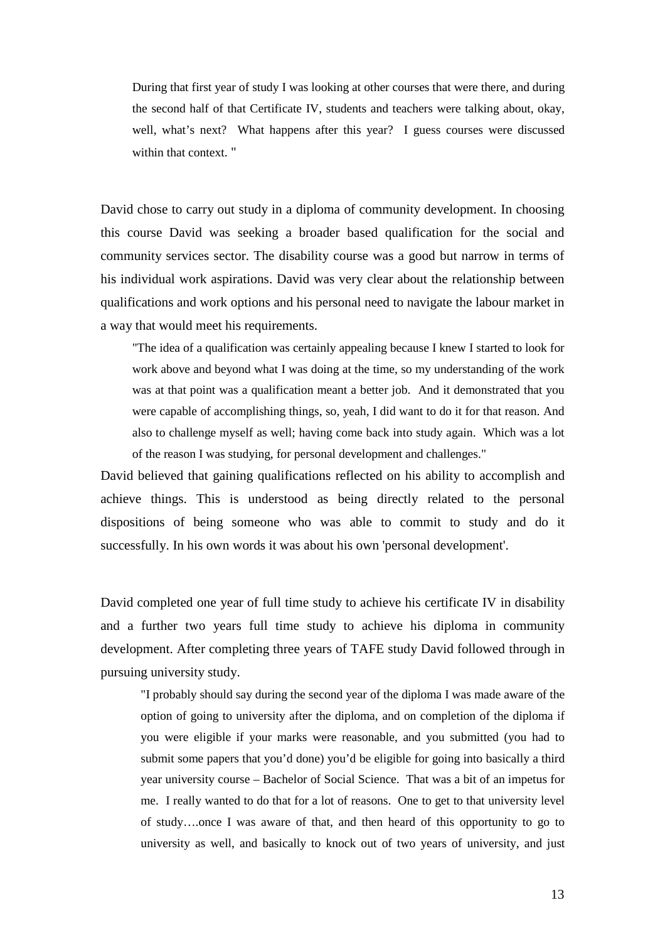During that first year of study I was looking at other courses that were there, and during the second half of that Certificate IV, students and teachers were talking about, okay, well, what's next? What happens after this year? I guess courses were discussed within that context. "

David chose to carry out study in a diploma of community development. In choosing this course David was seeking a broader based qualification for the social and community services sector. The disability course was a good but narrow in terms of his individual work aspirations. David was very clear about the relationship between qualifications and work options and his personal need to navigate the labour market in a way that would meet his requirements.

"The idea of a qualification was certainly appealing because I knew I started to look for work above and beyond what I was doing at the time, so my understanding of the work was at that point was a qualification meant a better job. And it demonstrated that you were capable of accomplishing things, so, yeah, I did want to do it for that reason. And also to challenge myself as well; having come back into study again. Which was a lot of the reason I was studying, for personal development and challenges."

David believed that gaining qualifications reflected on his ability to accomplish and achieve things. This is understood as being directly related to the personal dispositions of being someone who was able to commit to study and do it successfully. In his own words it was about his own 'personal development'.

David completed one year of full time study to achieve his certificate IV in disability and a further two years full time study to achieve his diploma in community development. After completing three years of TAFE study David followed through in pursuing university study.

"I probably should say during the second year of the diploma I was made aware of the option of going to university after the diploma, and on completion of the diploma if you were eligible if your marks were reasonable, and you submitted (you had to submit some papers that you'd done) you'd be eligible for going into basically a third year university course – Bachelor of Social Science. That was a bit of an impetus for me. I really wanted to do that for a lot of reasons. One to get to that university level of study….once I was aware of that, and then heard of this opportunity to go to university as well, and basically to knock out of two years of university, and just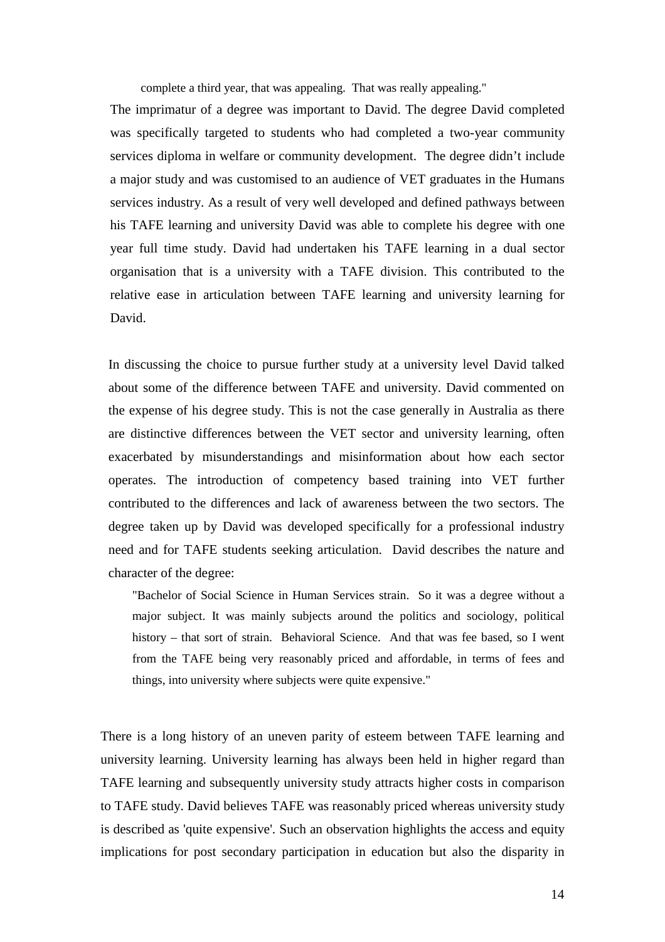complete a third year, that was appealing. That was really appealing."

The imprimatur of a degree was important to David. The degree David completed was specifically targeted to students who had completed a two-year community services diploma in welfare or community development. The degree didn't include a major study and was customised to an audience of VET graduates in the Humans services industry. As a result of very well developed and defined pathways between his TAFE learning and university David was able to complete his degree with one year full time study. David had undertaken his TAFE learning in a dual sector organisation that is a university with a TAFE division. This contributed to the relative ease in articulation between TAFE learning and university learning for David.

In discussing the choice to pursue further study at a university level David talked about some of the difference between TAFE and university. David commented on the expense of his degree study. This is not the case generally in Australia as there are distinctive differences between the VET sector and university learning, often exacerbated by misunderstandings and misinformation about how each sector operates. The introduction of competency based training into VET further contributed to the differences and lack of awareness between the two sectors. The degree taken up by David was developed specifically for a professional industry need and for TAFE students seeking articulation. David describes the nature and character of the degree:

"Bachelor of Social Science in Human Services strain. So it was a degree without a major subject. It was mainly subjects around the politics and sociology, political history – that sort of strain. Behavioral Science. And that was fee based, so I went from the TAFE being very reasonably priced and affordable, in terms of fees and things, into university where subjects were quite expensive."

There is a long history of an uneven parity of esteem between TAFE learning and university learning. University learning has always been held in higher regard than TAFE learning and subsequently university study attracts higher costs in comparison to TAFE study. David believes TAFE was reasonably priced whereas university study is described as 'quite expensive'. Such an observation highlights the access and equity implications for post secondary participation in education but also the disparity in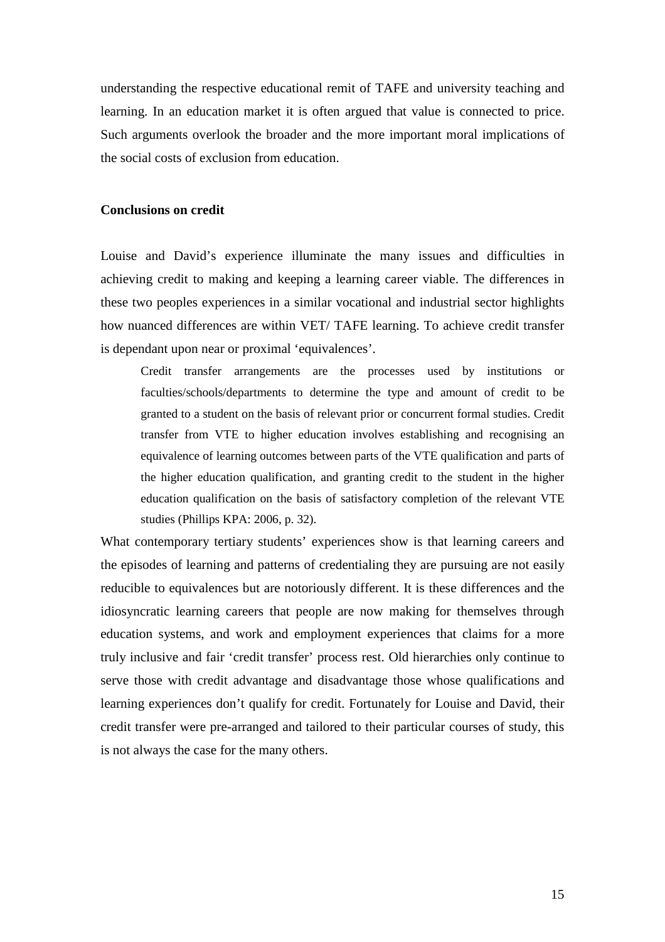understanding the respective educational remit of TAFE and university teaching and learning. In an education market it is often argued that value is connected to price. Such arguments overlook the broader and the more important moral implications of the social costs of exclusion from education.

### **Conclusions on credit**

Louise and David's experience illuminate the many issues and difficulties in achieving credit to making and keeping a learning career viable. The differences in these two peoples experiences in a similar vocational and industrial sector highlights how nuanced differences are within VET/ TAFE learning. To achieve credit transfer is dependant upon near or proximal 'equivalences'.

Credit transfer arrangements are the processes used by institutions or faculties/schools/departments to determine the type and amount of credit to be granted to a student on the basis of relevant prior or concurrent formal studies. Credit transfer from VTE to higher education involves establishing and recognising an equivalence of learning outcomes between parts of the VTE qualification and parts of the higher education qualification, and granting credit to the student in the higher education qualification on the basis of satisfactory completion of the relevant VTE studies (Phillips KPA: 2006, p. 32).

What contemporary tertiary students' experiences show is that learning careers and the episodes of learning and patterns of credentialing they are pursuing are not easily reducible to equivalences but are notoriously different. It is these differences and the idiosyncratic learning careers that people are now making for themselves through education systems, and work and employment experiences that claims for a more truly inclusive and fair 'credit transfer' process rest. Old hierarchies only continue to serve those with credit advantage and disadvantage those whose qualifications and learning experiences don't qualify for credit. Fortunately for Louise and David, their credit transfer were pre-arranged and tailored to their particular courses of study, this is not always the case for the many others.